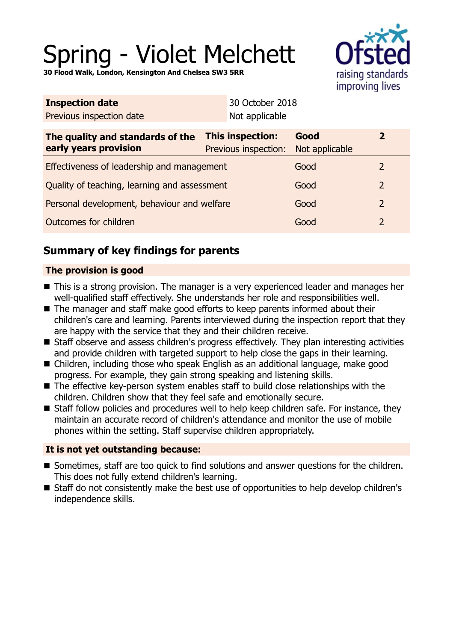# Spring - Violet Melchett

**30 Flood Walk, London, Kensington And Chelsea SW3 5RR**



| Not applicable                                  |                        |                                                 |  |
|-------------------------------------------------|------------------------|-------------------------------------------------|--|
| <b>This inspection:</b><br>Previous inspection: | Good<br>Not applicable | $\mathbf{2}$                                    |  |
| Effectiveness of leadership and management      |                        | $\mathcal{L}$                                   |  |
| Quality of teaching, learning and assessment    |                        | 2                                               |  |
| Personal development, behaviour and welfare     |                        | $\overline{2}$                                  |  |
| Outcomes for children                           |                        | 2                                               |  |
|                                                 |                        | 30 October 2018<br>Good<br>Good<br>Good<br>Good |  |

# **Summary of key findings for parents**

# **The provision is good**

- This is a strong provision. The manager is a very experienced leader and manages her well-qualified staff effectively. She understands her role and responsibilities well.
- The manager and staff make good efforts to keep parents informed about their children's care and learning. Parents interviewed during the inspection report that they are happy with the service that they and their children receive.
- Staff observe and assess children's progress effectively. They plan interesting activities and provide children with targeted support to help close the gaps in their learning.
- Children, including those who speak English as an additional language, make good progress. For example, they gain strong speaking and listening skills.
- $\blacksquare$  The effective key-person system enables staff to build close relationships with the children. Children show that they feel safe and emotionally secure.
- Staff follow policies and procedures well to help keep children safe. For instance, they maintain an accurate record of children's attendance and monitor the use of mobile phones within the setting. Staff supervise children appropriately.

## **It is not yet outstanding because:**

- Sometimes, staff are too quick to find solutions and answer questions for the children. This does not fully extend children's learning.
- Staff do not consistently make the best use of opportunities to help develop children's independence skills.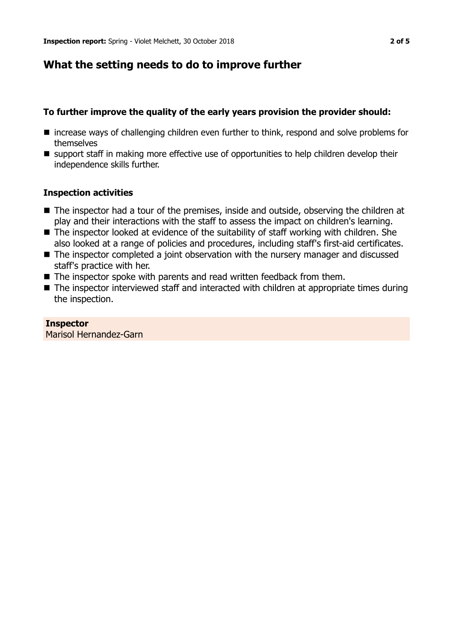# **What the setting needs to do to improve further**

#### **To further improve the quality of the early years provision the provider should:**

- $\blacksquare$  increase ways of challenging children even further to think, respond and solve problems for themselves
- support staff in making more effective use of opportunities to help children develop their independence skills further.

#### **Inspection activities**

- The inspector had a tour of the premises, inside and outside, observing the children at play and their interactions with the staff to assess the impact on children's learning.
- $\blacksquare$  The inspector looked at evidence of the suitability of staff working with children. She also looked at a range of policies and procedures, including staff's first-aid certificates.
- The inspector completed a joint observation with the nursery manager and discussed staff's practice with her.
- $\blacksquare$  The inspector spoke with parents and read written feedback from them.
- $\blacksquare$  The inspector interviewed staff and interacted with children at appropriate times during the inspection.

#### **Inspector**

Marisol Hernandez-Garn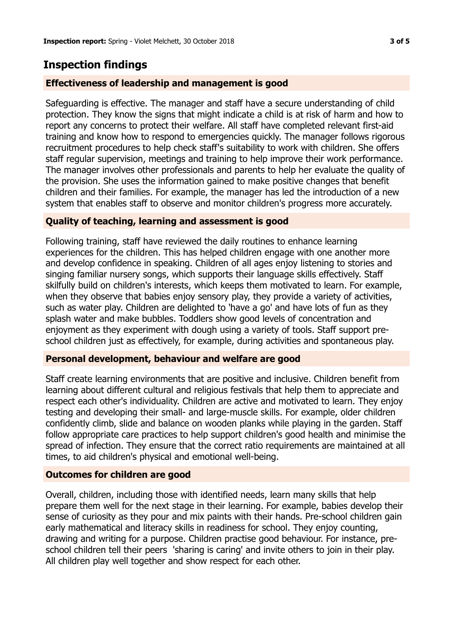# **Inspection findings**

## **Effectiveness of leadership and management is good**

Safeguarding is effective. The manager and staff have a secure understanding of child protection. They know the signs that might indicate a child is at risk of harm and how to report any concerns to protect their welfare. All staff have completed relevant first-aid training and know how to respond to emergencies quickly. The manager follows rigorous recruitment procedures to help check staff's suitability to work with children. She offers staff regular supervision, meetings and training to help improve their work performance. The manager involves other professionals and parents to help her evaluate the quality of the provision. She uses the information gained to make positive changes that benefit children and their families. For example, the manager has led the introduction of a new system that enables staff to observe and monitor children's progress more accurately.

## **Quality of teaching, learning and assessment is good**

Following training, staff have reviewed the daily routines to enhance learning experiences for the children. This has helped children engage with one another more and develop confidence in speaking. Children of all ages enjoy listening to stories and singing familiar nursery songs, which supports their language skills effectively. Staff skilfully build on children's interests, which keeps them motivated to learn. For example, when they observe that babies enjoy sensory play, they provide a variety of activities, such as water play. Children are delighted to 'have a go' and have lots of fun as they splash water and make bubbles. Toddlers show good levels of concentration and enjoyment as they experiment with dough using a variety of tools. Staff support preschool children just as effectively, for example, during activities and spontaneous play.

## **Personal development, behaviour and welfare are good**

Staff create learning environments that are positive and inclusive. Children benefit from learning about different cultural and religious festivals that help them to appreciate and respect each other's individuality. Children are active and motivated to learn. They enjoy testing and developing their small- and large-muscle skills. For example, older children confidently climb, slide and balance on wooden planks while playing in the garden. Staff follow appropriate care practices to help support children's good health and minimise the spread of infection. They ensure that the correct ratio requirements are maintained at all times, to aid children's physical and emotional well-being.

## **Outcomes for children are good**

Overall, children, including those with identified needs, learn many skills that help prepare them well for the next stage in their learning. For example, babies develop their sense of curiosity as they pour and mix paints with their hands. Pre-school children gain early mathematical and literacy skills in readiness for school. They enjoy counting, drawing and writing for a purpose. Children practise good behaviour. For instance, preschool children tell their peers 'sharing is caring' and invite others to join in their play. All children play well together and show respect for each other.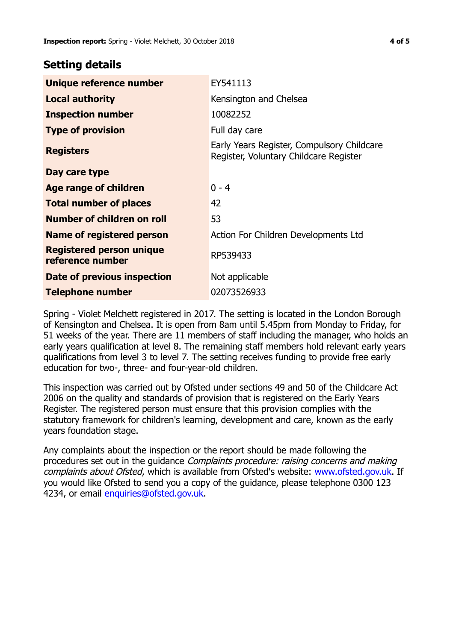# **Setting details**

| Unique reference number                      | EY541113                                                                             |
|----------------------------------------------|--------------------------------------------------------------------------------------|
| <b>Local authority</b>                       | Kensington and Chelsea                                                               |
| <b>Inspection number</b>                     | 10082252                                                                             |
| <b>Type of provision</b>                     | Full day care                                                                        |
| <b>Registers</b>                             | Early Years Register, Compulsory Childcare<br>Register, Voluntary Childcare Register |
| Day care type                                |                                                                                      |
| Age range of children                        | $0 - 4$                                                                              |
| <b>Total number of places</b>                | 42                                                                                   |
| Number of children on roll                   | 53                                                                                   |
| Name of registered person                    | Action For Children Developments Ltd                                                 |
| Registered person unique<br>reference number | RP539433                                                                             |
| Date of previous inspection                  | Not applicable                                                                       |
| <b>Telephone number</b>                      | 02073526933                                                                          |

Spring - Violet Melchett registered in 2017. The setting is located in the London Borough of Kensington and Chelsea. It is open from 8am until 5.45pm from Monday to Friday, for 51 weeks of the year. There are 11 members of staff including the manager, who holds an early years qualification at level 8. The remaining staff members hold relevant early years qualifications from level 3 to level 7. The setting receives funding to provide free early education for two-, three- and four-year-old children.

This inspection was carried out by Ofsted under sections 49 and 50 of the Childcare Act 2006 on the quality and standards of provision that is registered on the Early Years Register. The registered person must ensure that this provision complies with the statutory framework for children's learning, development and care, known as the early years foundation stage.

Any complaints about the inspection or the report should be made following the procedures set out in the guidance Complaints procedure: raising concerns and making complaints about Ofsted, which is available from Ofsted's website: www.ofsted.gov.uk. If you would like Ofsted to send you a copy of the guidance, please telephone 0300 123 4234, or email [enquiries@ofsted.gov.uk.](mailto:enquiries@ofsted.gov.uk)